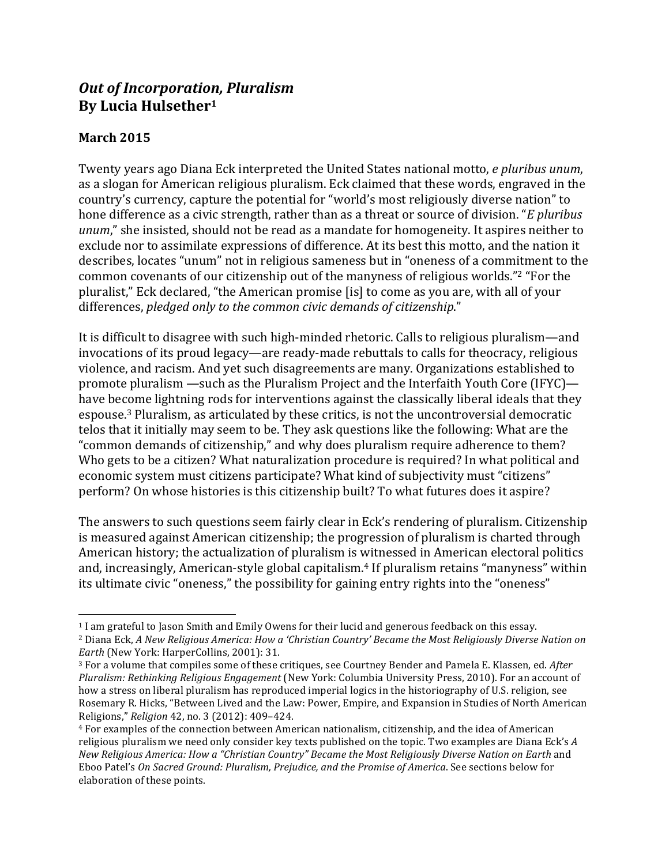# **Out of Incorporation, Pluralism By Lucia Hulsether1**

<u> 1989 - Johann Stein, marwolaethau a bh</u>

# **March 2015**

Twenty years ago Diana Eck interpreted the United States national motto, *e pluribus unum*, as a slogan for American religious pluralism. Eck claimed that these words, engraved in the country's currency, capture the potential for "world's most religiously diverse nation" to hone difference as a civic strength, rather than as a threat or source of division. "*E* pluribus *unum*," she insisted, should not be read as a mandate for homogeneity. It aspires neither to exclude nor to assimilate expressions of difference. At its best this motto, and the nation it describes, locates "unum" not in religious sameness but in "oneness of a commitment to the common covenants of our citizenship out of the manyness of religious worlds."<sup>2</sup> "For the pluralist," Eck declared, "the American promise [is] to come as you are, with all of your differences, *pledged only to the common civic demands of citizenship*."

It is difficult to disagree with such high-minded rhetoric. Calls to religious pluralism—and invocations of its proud legacy—are ready-made rebuttals to calls for theocracy, religious violence, and racism. And yet such disagreements are many. Organizations established to promote pluralism —such as the Pluralism Project and the Interfaith Youth Core (IFYC) have become lightning rods for interventions against the classically liberal ideals that they espouse.<sup>3</sup> Pluralism, as articulated by these critics, is not the uncontroversial democratic telos that it initially may seem to be. They ask questions like the following: What are the "common demands of citizenship," and why does pluralism require adherence to them? Who gets to be a citizen? What naturalization procedure is required? In what political and economic system must citizens participate? What kind of subjectivity must "citizens" perform? On whose histories is this citizenship built? To what futures does it aspire?

The answers to such questions seem fairly clear in Eck's rendering of pluralism. Citizenship is measured against American citizenship; the progression of pluralism is charted through American history; the actualization of pluralism is witnessed in American electoral politics and, increasingly, American-style global capitalism.<sup>4</sup> If pluralism retains "manyness" within its ultimate civic "oneness," the possibility for gaining entry rights into the "oneness"

<sup>&</sup>lt;sup>1</sup> I am grateful to Jason Smith and Emily Owens for their lucid and generous feedback on this essay.

<sup>&</sup>lt;sup>2</sup> Diana Eck, *A New Religious America: How a 'Christian Country' Became the Most Religiously Diverse Nation on Earth* (New York: HarperCollins, 2001): 31.

<sup>&</sup>lt;sup>3</sup> For a volume that compiles some of these critiques, see Courtney Bender and Pamela E. Klassen, ed. *After Pluralism: Rethinking Religious Engagement* (New York: Columbia University Press, 2010). For an account of how a stress on liberal pluralism has reproduced imperial logics in the historiography of U.S. religion, see Rosemary R. Hicks, "Between Lived and the Law: Power, Empire, and Expansion in Studies of North American Religions," *Religion* 42, no. 3 (2012): 409–424.

<sup>&</sup>lt;sup>4</sup> For examples of the connection between American nationalism, citizenship, and the idea of American religious pluralism we need only consider key texts published on the topic. Two examples are Diana Eck's A *New Religious America: How a "Christian Country" Became the Most Religiously Diverse Nation on Earth* and Eboo Patel's On Sacred Ground: Pluralism, Prejudice, and the Promise of America. See sections below for elaboration of these points.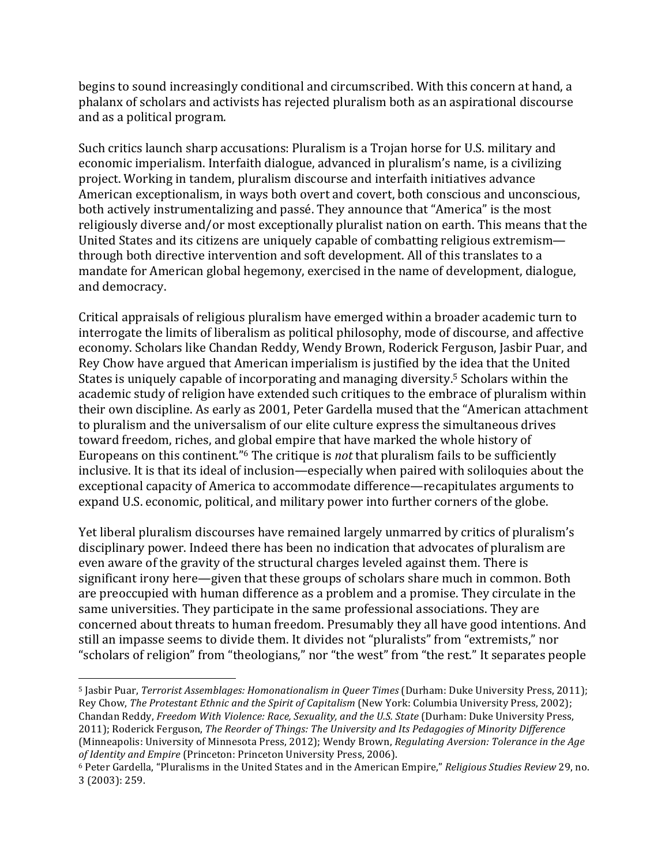begins to sound increasingly conditional and circumscribed. With this concern at hand, a phalanx of scholars and activists has rejected pluralism both as an aspirational discourse and as a political program.

Such critics launch sharp accusations: Pluralism is a Trojan horse for U.S. military and economic imperialism. Interfaith dialogue, advanced in pluralism's name, is a civilizing project. Working in tandem, pluralism discourse and interfaith initiatives advance American exceptionalism, in ways both overt and covert, both conscious and unconscious, both actively instrumentalizing and passé. They announce that "America" is the most religiously diverse and/or most exceptionally pluralist nation on earth. This means that the United States and its citizens are uniquely capable of combatting religious extremism through both directive intervention and soft development. All of this translates to a mandate for American global hegemony, exercised in the name of development, dialogue, and democracy.

Critical appraisals of religious pluralism have emerged within a broader academic turn to interrogate the limits of liberalism as political philosophy, mode of discourse, and affective economy. Scholars like Chandan Reddy, Wendy Brown, Roderick Ferguson, Jasbir Puar, and Rey Chow have argued that American imperialism is justified by the idea that the United States is uniquely capable of incorporating and managing diversity.<sup>5</sup> Scholars within the academic study of religion have extended such critiques to the embrace of pluralism within their own discipline. As early as 2001, Peter Gardella mused that the "American attachment to pluralism and the universalism of our elite culture express the simultaneous drives toward freedom, riches, and global empire that have marked the whole history of Europeans on this continent."<sup>6</sup> The critique is *not* that pluralism fails to be sufficiently inclusive. It is that its ideal of inclusion—especially when paired with soliloquies about the exceptional capacity of America to accommodate difference—recapitulates arguments to expand U.S. economic, political, and military power into further corners of the globe.

Yet liberal pluralism discourses have remained largely unmarred by critics of pluralism's disciplinary power. Indeed there has been no indication that advocates of pluralism are even aware of the gravity of the structural charges leveled against them. There is significant irony here—given that these groups of scholars share much in common. Both are preoccupied with human difference as a problem and a promise. They circulate in the same universities. They participate in the same professional associations. They are concerned about threats to human freedom. Presumably they all have good intentions. And still an impasse seems to divide them. It divides not "pluralists" from "extremists," nor "scholars of religion" from "theologians," nor "the west" from "the rest." It separates people

<u> 1989 - Johann Stein, marwolaethau a bh</u>

<sup>&</sup>lt;sup>5</sup> Jasbir Puar, *Terrorist Assemblages: Homonationalism in Queer Times* (Durham: Duke University Press, 2011); Rey Chow, *The Protestant Ethnic and the Spirit of Capitalism* (New York: Columbia University Press, 2002); Chandan Reddy, *Freedom With Violence: Race, Sexuality, and the U.S. State* (Durham: Duke University Press, 2011); Roderick Ferguson, *The Reorder of Things: The University and Its Pedagogies of Minority Difference* (Minneapolis: University of Minnesota Press, 2012); Wendy Brown, *Regulating Aversion: Tolerance in the Age of Identity and Empire* (Princeton: Princeton University Press, 2006).

<sup>&</sup>lt;sup>6</sup> Peter Gardella, "Pluralisms in the United States and in the American Empire," *Religious Studies Review* 29, no. 3 (2003): 259.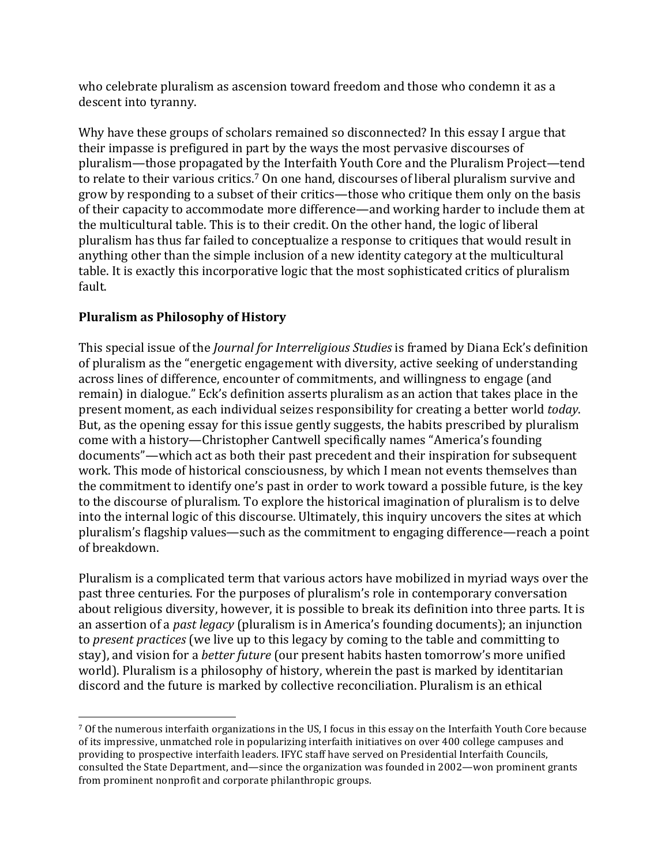who celebrate pluralism as ascension toward freedom and those who condemn it as a descent into tyranny.

Why have these groups of scholars remained so disconnected? In this essay I argue that their impasse is prefigured in part by the ways the most pervasive discourses of pluralism—those propagated by the Interfaith Youth Core and the Pluralism Project—tend to relate to their various critics.<sup>7</sup> On one hand, discourses of liberal pluralism survive and grow by responding to a subset of their critics—those who critique them only on the basis of their capacity to accommodate more difference—and working harder to include them at the multicultural table. This is to their credit. On the other hand, the logic of liberal pluralism has thus far failed to conceptualize a response to critiques that would result in anything other than the simple inclusion of a new identity category at the multicultural table. It is exactly this incorporative logic that the most sophisticated critics of pluralism fault.

### **Pluralism as Philosophy of History**

<u> 1989 - Johann Stein, marwolaethau a bh</u>

This special issue of the *Journal for Interreligious Studies* is framed by Diana Eck's definition of pluralism as the "energetic engagement with diversity, active seeking of understanding across lines of difference, encounter of commitments, and willingness to engage (and remain) in dialogue." Eck's definition asserts pluralism as an action that takes place in the present moment, as each individual seizes responsibility for creating a better world *today*. But, as the opening essay for this issue gently suggests, the habits prescribed by pluralism come with a history—Christopher Cantwell specifically names "America's founding documents"—which act as both their past precedent and their inspiration for subsequent work. This mode of historical consciousness, by which I mean not events themselves than the commitment to identify one's past in order to work toward a possible future, is the key to the discourse of pluralism. To explore the historical imagination of pluralism is to delve into the internal logic of this discourse. Ultimately, this inquiry uncovers the sites at which pluralism's flagship values—such as the commitment to engaging difference—reach a point of breakdown.

Pluralism is a complicated term that various actors have mobilized in myriad ways over the past three centuries. For the purposes of pluralism's role in contemporary conversation about religious diversity, however, it is possible to break its definition into three parts. It is an assertion of a *past legacy* (pluralism is in America's founding documents); an injunction to *present practices* (we live up to this legacy by coming to the table and committing to stay), and vision for a *better future* (our present habits hasten tomorrow's more unified world). Pluralism is a philosophy of history, wherein the past is marked by identitarian discord and the future is marked by collective reconciliation. Pluralism is an ethical

<sup>7</sup> Of the numerous interfaith organizations in the US, I focus in this essay on the Interfaith Youth Core because of its impressive, unmatched role in popularizing interfaith initiatives on over 400 college campuses and providing to prospective interfaith leaders. IFYC staff have served on Presidential Interfaith Councils, consulted the State Department, and—since the organization was founded in 2002—won prominent grants from prominent nonprofit and corporate philanthropic groups.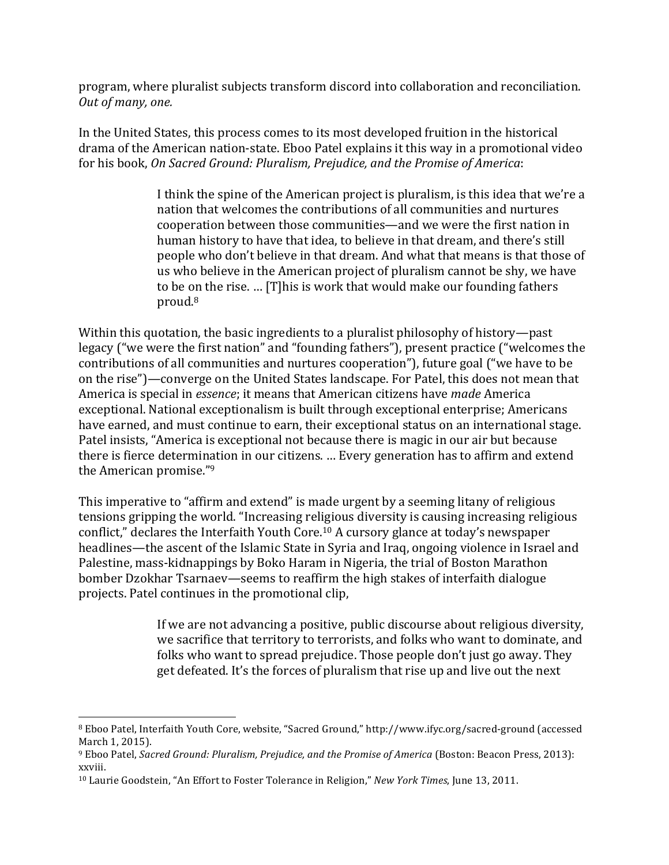program, where pluralist subjects transform discord into collaboration and reconciliation. *Out of many, one.*

In the United States, this process comes to its most developed fruition in the historical drama of the American nation-state. Eboo Patel explains it this way in a promotional video for his book, On Sacred Ground: Pluralism, Prejudice, and the Promise of America:

> I think the spine of the American project is pluralism, is this idea that we're a nation that welcomes the contributions of all communities and nurtures cooperation between those communities—and we were the first nation in human history to have that idea, to believe in that dream, and there's still people who don't believe in that dream. And what that means is that those of us who believe in the American project of pluralism cannot be shy, we have to be on the rise. ... [T]his is work that would make our founding fathers proud.8

Within this quotation, the basic ingredients to a pluralist philosophy of history—past legacy ("we were the first nation" and "founding fathers"), present practice ("welcomes the contributions of all communities and nurtures cooperation"), future goal ("we have to be on the rise")—converge on the United States landscape. For Patel, this does not mean that America is special in *essence*; it means that American citizens have *made* America exceptional. National exceptionalism is built through exceptional enterprise; Americans have earned, and must continue to earn, their exceptional status on an international stage. Patel insists, "America is exceptional not because there is magic in our air but because there is fierce determination in our citizens. ... Every generation has to affirm and extend the American promise." $9$ 

This imperative to "affirm and extend" is made urgent by a seeming litany of religious tensions gripping the world. "Increasing religious diversity is causing increasing religious conflict," declares the Interfaith Youth Core.<sup>10</sup> A cursory glance at today's newspaper headlines—the ascent of the Islamic State in Syria and Iraq, ongoing violence in Israel and Palestine, mass-kidnappings by Boko Haram in Nigeria, the trial of Boston Marathon bomber Dzokhar Tsarnaey—seems to reaffirm the high stakes of interfaith dialogue projects. Patel continues in the promotional clip,

> If we are not advancing a positive, public discourse about religious diversity, we sacrifice that territory to terrorists, and folks who want to dominate, and folks who want to spread prejudice. Those people don't just go away. They get defeated. It's the forces of pluralism that rise up and live out the next

<u> 1989 - Johann Stein, marwolaethau a bh</u>

<sup>&</sup>lt;sup>8</sup> Eboo Patel, Interfaith Youth Core, website, "Sacred Ground," http://www.ifyc.org/sacred-ground (accessed March 1, 2015).

<sup>&</sup>lt;sup>9</sup> Eboo Patel, *Sacred Ground: Pluralism, Prejudice, and the Promise of America* (Boston: Beacon Press, 2013): xxviii.

<sup>&</sup>lt;sup>10</sup> Laurie Goodstein, "An Effort to Foster Tolerance in Religion," *New York Times*, June 13, 2011.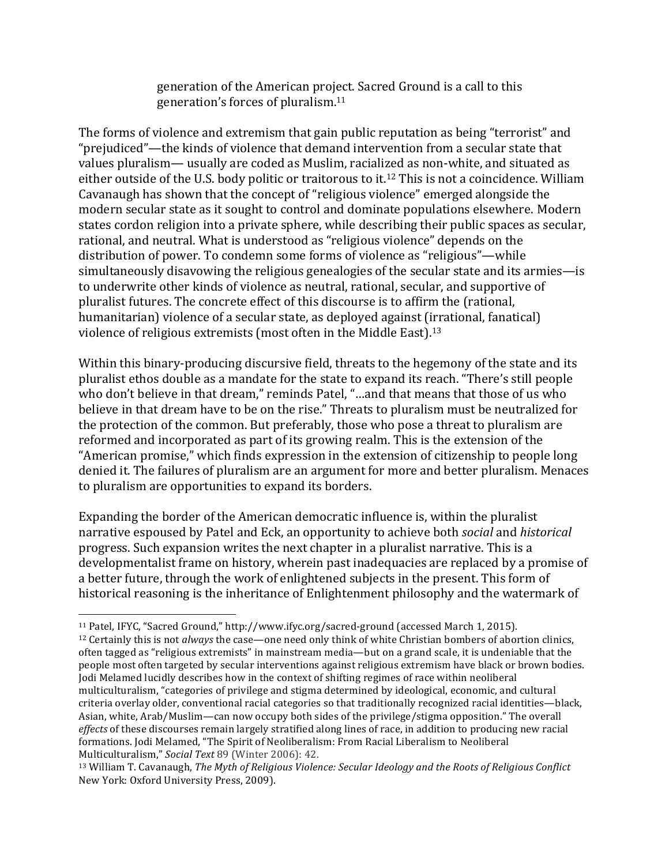generation of the American project. Sacred Ground is a call to this generation's forces of pluralism. $11$ 

The forms of violence and extremism that gain public reputation as being "terrorist" and "prejudiced"—the kinds of violence that demand intervention from a secular state that values pluralism— usually are coded as Muslim, racialized as non-white, and situated as either outside of the U.S. body politic or traitorous to it.<sup>12</sup> This is not a coincidence. William Cavanaugh has shown that the concept of "religious violence" emerged alongside the modern secular state as it sought to control and dominate populations elsewhere. Modern states cordon religion into a private sphere, while describing their public spaces as secular, rational, and neutral. What is understood as "religious violence" depends on the distribution of power. To condemn some forms of violence as "religious"—while simultaneously disavowing the religious genealogies of the secular state and its armies—is to underwrite other kinds of violence as neutral, rational, secular, and supportive of pluralist futures. The concrete effect of this discourse is to affirm the (rational, humanitarian) violence of a secular state, as deployed against (irrational, fanatical) violence of religious extremists (most often in the Middle East).<sup>13</sup>

Within this binary-producing discursive field, threats to the hegemony of the state and its pluralist ethos double as a mandate for the state to expand its reach. "There's still people who don't believe in that dream," reminds Patel, "...and that means that those of us who believe in that dream have to be on the rise." Threats to pluralism must be neutralized for the protection of the common. But preferably, those who pose a threat to pluralism are reformed and incorporated as part of its growing realm. This is the extension of the "American promise," which finds expression in the extension of citizenship to people long denied it. The failures of pluralism are an argument for more and better pluralism. Menaces to pluralism are opportunities to expand its borders.

Expanding the border of the American democratic influence is, within the pluralist narrative espoused by Patel and Eck, an opportunity to achieve both *social* and *historical* progress. Such expansion writes the next chapter in a pluralist narrative. This is a developmentalist frame on history, wherein past inadequacies are replaced by a promise of a better future, through the work of enlightened subjects in the present. This form of historical reasoning is the inheritance of Enlightenment philosophy and the watermark of

<u> 1989 - Johann Stein, marwolaethau a bh</u>

<sup>&</sup>lt;sup>11</sup> Patel, IFYC, "Sacred Ground," http://www.ifyc.org/sacred-ground (accessed March 1, 2015). <sup>12</sup> Certainly this is not *always* the case—one need only think of white Christian bombers of abortion clinics, often tagged as "religious extremists" in mainstream media—but on a grand scale, it is undeniable that the people most often targeted by secular interventions against religious extremism have black or brown bodies. Jodi Melamed lucidly describes how in the context of shifting regimes of race within neoliberal multiculturalism, "categories of privilege and stigma determined by ideological, economic, and cultural criteria overlay older, conventional racial categories so that traditionally recognized racial identities—black, Asian, white, Arab/Muslim—can now occupy both sides of the privilege/stigma opposition." The overall *effects* of these discourses remain largely stratified along lines of race, in addition to producing new racial formations. Iodi Melamed, "The Spirit of Neoliberalism: From Racial Liberalism to Neoliberal Multiculturalism," Social Text 89 (Winter 2006): 42.

<sup>&</sup>lt;sup>13</sup> William T. Cavanaugh, *The Myth of Religious Violence: Secular Ideology and the Roots of Religious Conflict* New York: Oxford University Press, 2009).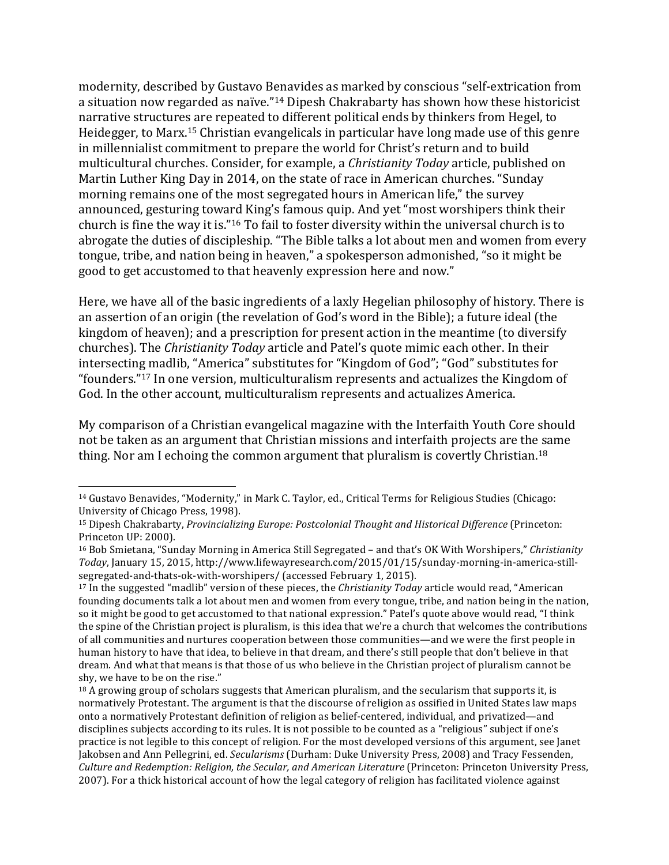modernity, described by Gustavo Benavides as marked by conscious "self-extrication from a situation now regarded as naïve."<sup>14</sup> Dipesh Chakrabarty has shown how these historicist narrative structures are repeated to different political ends by thinkers from Hegel, to Heidegger, to Marx.<sup>15</sup> Christian evangelicals in particular have long made use of this genre in millennialist commitment to prepare the world for Christ's return and to build multicultural churches. Consider, for example, a *Christianity Today* article, published on Martin Luther King Day in 2014, on the state of race in American churches. "Sunday morning remains one of the most segregated hours in American life," the survey announced, gesturing toward King's famous quip. And yet "most worshipers think their church is fine the way it is."<sup>16</sup> To fail to foster diversity within the universal church is to abrogate the duties of discipleship. "The Bible talks a lot about men and women from every tongue, tribe, and nation being in heaven," a spokesperson admonished, "so it might be good to get accustomed to that heavenly expression here and now."

Here, we have all of the basic ingredients of a laxly Hegelian philosophy of history. There is an assertion of an origin (the revelation of God's word in the Bible); a future ideal (the kingdom of heaven); and a prescription for present action in the meantime (to diversify churches). The *Christianity Today* article and Patel's quote mimic each other. In their intersecting madlib, "America" substitutes for "Kingdom of God"; "God" substitutes for "founders."<sup>17</sup> In one version, multiculturalism represents and actualizes the Kingdom of God. In the other account, multiculturalism represents and actualizes America.

My comparison of a Christian evangelical magazine with the Interfaith Youth Core should not be taken as an argument that Christian missions and interfaith projects are the same thing. Nor am I echoing the common argument that pluralism is covertly Christian.<sup>18</sup>

 

<sup>&</sup>lt;sup>14</sup> Gustavo Benavides, "Modernity," in Mark C. Taylor, ed., Critical Terms for Religious Studies (Chicago: University of Chicago Press, 1998).

<sup>15</sup> Dipesh Chakrabarty, *Provincializing Europe: Postcolonial Thought and Historical Difference* (Princeton: Princeton UP: 2000).

<sup>&</sup>lt;sup>16</sup> Bob Smietana, "Sunday Morning in America Still Segregated - and that's OK With Worshipers," Christianity *Today*, January 15, 2015, http://www.lifewayresearch.com/2015/01/15/sunday-morning-in-america-stillsegregated-and-thats-ok-with-worshipers/ (accessed February 1, 2015).

<sup>&</sup>lt;sup>17</sup> In the suggested "madlib" version of these pieces, the *Christianity Today* article would read, "American founding documents talk a lot about men and women from every tongue, tribe, and nation being in the nation, so it might be good to get accustomed to that national expression." Patel's quote above would read, "I think the spine of the Christian project is pluralism, is this idea that we're a church that welcomes the contributions of all communities and nurtures cooperation between those communities—and we were the first people in human history to have that idea, to believe in that dream, and there's still people that don't believe in that dream. And what that means is that those of us who believe in the Christian project of pluralism cannot be shy, we have to be on the rise."

 $18$  A growing group of scholars suggests that American pluralism, and the secularism that supports it, is normatively Protestant. The argument is that the discourse of religion as ossified in United States law maps onto a normatively Protestant definition of religion as belief-centered, individual, and privatized—and disciplines subjects according to its rules. It is not possible to be counted as a "religious" subject if one's practice is not legible to this concept of religion. For the most developed versions of this argument, see Janet Jakobsen and Ann Pellegrini, ed. *Secularisms* (Durham: Duke University Press, 2008) and Tracy Fessenden, *Culture and Redemption: Religion, the Secular, and American Literature* (Princeton: Princeton University Press, 2007). For a thick historical account of how the legal category of religion has facilitated violence against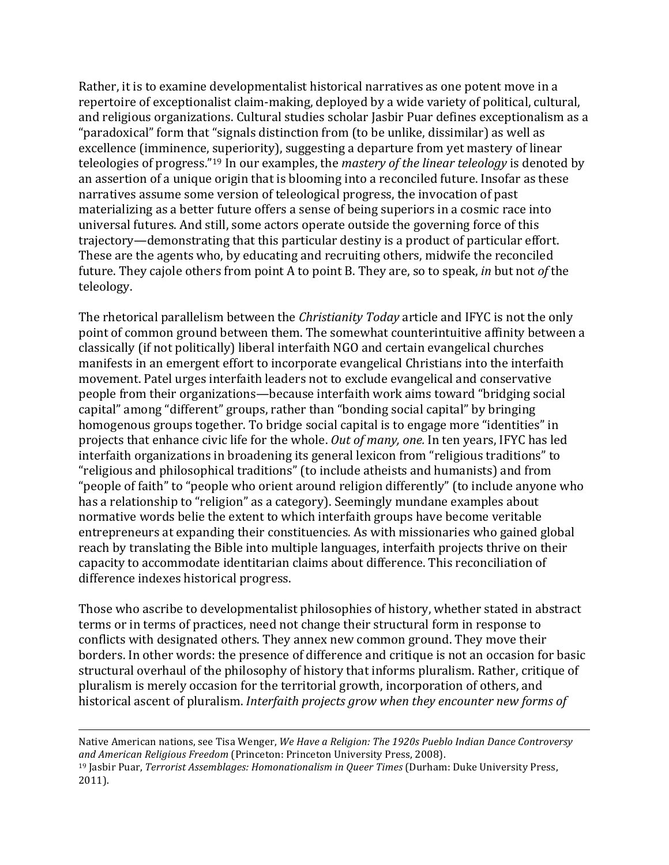Rather, it is to examine developmentalist historical narratives as one potent move in a repertoire of exceptionalist claim-making, deployed by a wide variety of political, cultural, and religious organizations. Cultural studies scholar Jasbir Puar defines exceptionalism as a "paradoxical" form that "signals distinction from (to be unlike, dissimilar) as well as excellence (imminence, superiority), suggesting a departure from yet mastery of linear teleologies of progress."<sup>19</sup> In our examples, the *mastery of the linear teleology* is denoted by an assertion of a unique origin that is blooming into a reconciled future. Insofar as these narratives assume some version of teleological progress, the invocation of past materializing as a better future offers a sense of being superiors in a cosmic race into universal futures. And still, some actors operate outside the governing force of this trajectory—demonstrating that this particular destiny is a product of particular effort. These are the agents who, by educating and recruiting others, midwife the reconciled future. They cajole others from point A to point B. They are, so to speak, *in* but not *of* the teleology.

The rhetorical parallelism between the *Christianity Today* article and IFYC is not the only point of common ground between them. The somewhat counterintuitive affinity between a classically (if not politically) liberal interfaith NGO and certain evangelical churches manifests in an emergent effort to incorporate evangelical Christians into the interfaith movement. Patel urges interfaith leaders not to exclude evangelical and conservative people from their organizations—because interfaith work aims toward "bridging social capital" among "different" groups, rather than "bonding social capital" by bringing homogenous groups together. To bridge social capital is to engage more "identities" in projects that enhance civic life for the whole. *Out of many, one.* In ten years, IFYC has led interfaith organizations in broadening its general lexicon from "religious traditions" to "religious and philosophical traditions" (to include atheists and humanists) and from "people of faith" to "people who orient around religion differently" (to include anyone who has a relationship to "religion" as a category). Seemingly mundane examples about normative words belie the extent to which interfaith groups have become veritable entrepreneurs at expanding their constituencies. As with missionaries who gained global reach by translating the Bible into multiple languages, interfaith projects thrive on their capacity to accommodate identitarian claims about difference. This reconciliation of difference indexes historical progress.

Those who ascribe to developmentalist philosophies of history, whether stated in abstract terms or in terms of practices, need not change their structural form in response to conflicts with designated others. They annex new common ground. They move their borders. In other words: the presence of difference and critique is not an occasion for basic structural overhaul of the philosophy of history that informs pluralism. Rather, critique of pluralism is merely occasion for the territorial growth, incorporation of others, and historical ascent of pluralism. *Interfaith projects grow when they encounter new forms of* 

Native American nations, see Tisa Wenger, We Have a Religion: The 1920s Pueblo Indian Dance Controversy and American Religious Freedom (Princeton: Princeton University Press, 2008). <sup>19</sup> Jasbir Puar, *Terrorist Assemblages: Homonationalism in Queer Times* (Durham: Duke University Press, 2011).

<u> 1989 - Andrea Santa Andrea Andrea Andrea Andrea Andrea Andrea Andrea Andrea Andrea Andrea Andrea Andrea Andr</u>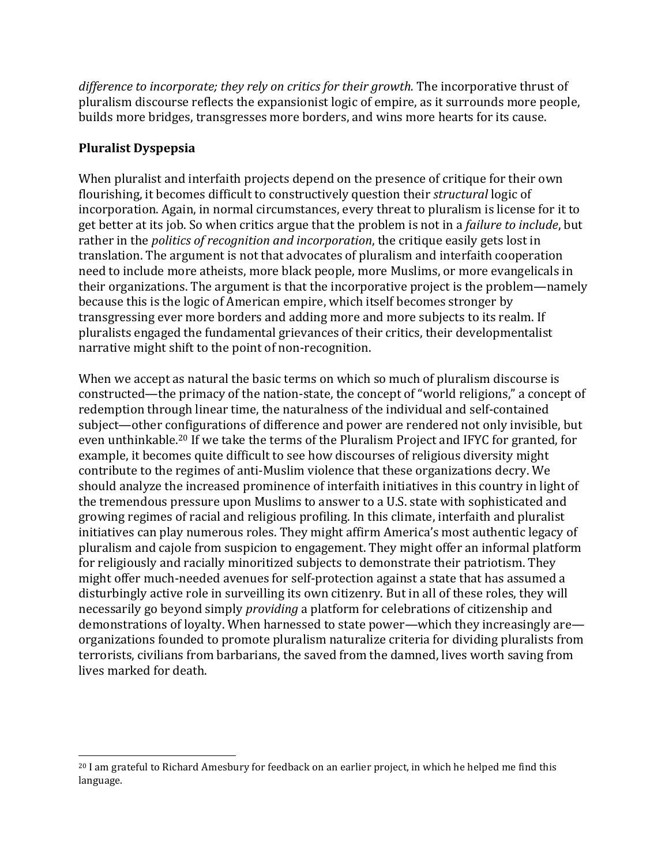*difference to incorporate; they rely on critics for their growth.* The incorporative thrust of pluralism discourse reflects the expansionist logic of empire, as it surrounds more people, builds more bridges, transgresses more borders, and wins more hearts for its cause.

# **Pluralist Dyspepsia**

When pluralist and interfaith projects depend on the presence of critique for their own flourishing, it becomes difficult to constructively question their *structural* logic of incorporation. Again, in normal circumstances, every threat to pluralism is license for it to get better at its job. So when critics argue that the problem is not in a *failure to include*, but rather in the *politics of recognition and incorporation*, the critique easily gets lost in translation. The argument is not that advocates of pluralism and interfaith cooperation need to include more atheists, more black people, more Muslims, or more evangelicals in their organizations. The argument is that the incorporative project is the problem—namely because this is the logic of American empire, which itself becomes stronger by transgressing ever more borders and adding more and more subjects to its realm. If pluralists engaged the fundamental grievances of their critics, their developmentalist narrative might shift to the point of non-recognition.

When we accept as natural the basic terms on which so much of pluralism discourse is constructed—the primacy of the nation-state, the concept of "world religions," a concept of redemption through linear time, the naturalness of the individual and self-contained subject—other configurations of difference and power are rendered not only invisible, but even unthinkable.<sup>20</sup> If we take the terms of the Pluralism Project and IFYC for granted, for example, it becomes quite difficult to see how discourses of religious diversity might contribute to the regimes of anti-Muslim violence that these organizations decry. We should analyze the increased prominence of interfaith initiatives in this country in light of the tremendous pressure upon Muslims to answer to a U.S. state with sophisticated and growing regimes of racial and religious profiling. In this climate, interfaith and pluralist initiatives can play numerous roles. They might affirm America's most authentic legacy of pluralism and cajole from suspicion to engagement. They might offer an informal platform for religiously and racially minoritized subjects to demonstrate their patriotism. They might offer much-needed avenues for self-protection against a state that has assumed a disturbingly active role in surveilling its own citizenry. But in all of these roles, they will necessarily go beyond simply *providing* a platform for celebrations of citizenship and demonstrations of loyalty. When harnessed to state power—which they increasingly are organizations founded to promote pluralism naturalize criteria for dividing pluralists from terrorists, civilians from barbarians, the saved from the damned, lives worth saving from lives marked for death.

<sup>&</sup>lt;u> 1989 - Johann Stein, marwolaethau a bh</u>  $^{20}$  I am grateful to Richard Amesbury for feedback on an earlier project, in which he helped me find this language.